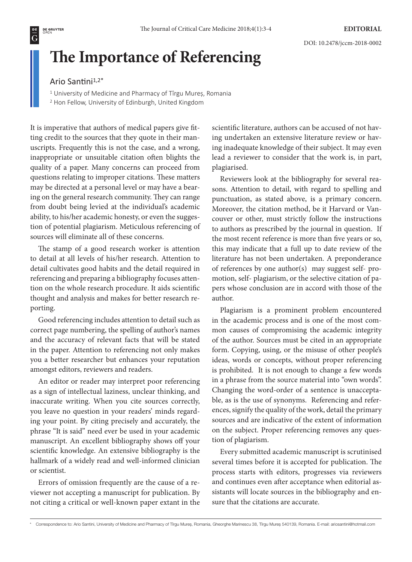$\overline{\overline{\mathsf{G}}}$ 

# **The Importance of Referencing**

### Ario Santini<sup>1,2\*</sup>

<sup>1</sup> University of Medicine and Pharmacy of Tîrgu Mures, Romania

<sup>2</sup> Hon Fellow, University of Edinburgh, United Kingdom

It is imperative that authors of medical papers give fitting credit to the sources that they quote in their manuscripts. Frequently this is not the case, and a wrong, inappropriate or unsuitable citation often blights the quality of a paper. Many concerns can proceed from questions relating to improper citations. These matters may be directed at a personal level or may have a bearing on the general research community. They can range from doubt being levied at the individual's academic ability, to his/her academic honesty, or even the suggestion of potential plagiarism. Meticulous referencing of sources will eliminate all of these concerns.

The stamp of a good research worker is attention to detail at all levels of his/her research. Attention to detail cultivates good habits and the detail required in referencing and preparing a bibliography focuses attention on the whole research procedure. It aids scientific thought and analysis and makes for better research reporting.

Good referencing includes attention to detail such as correct page numbering, the spelling of author's names and the accuracy of relevant facts that will be stated in the paper. Attention to referencing not only makes you a better researcher but enhances your reputation amongst editors, reviewers and readers.

An editor or reader may interpret poor referencing as a sign of intellectual laziness, unclear thinking, and inaccurate writing. When you cite sources correctly, you leave no question in your readers' minds regarding your point. By citing precisely and accurately, the phrase "It is said" need ever be used in your academic manuscript. An excellent bibliography shows off your scientific knowledge. An extensive bibliography is the hallmark of a widely read and well-informed clinician or scientist.

Errors of omission frequently are the cause of a reviewer not accepting a manuscript for publication. By not citing a critical or well-known paper extant in the scientific literature, authors can be accused of not having undertaken an extensive literature review or having inadequate knowledge of their subject. It may even lead a reviewer to consider that the work is, in part, plagiarised.

Reviewers look at the bibliography for several reasons. Attention to detail, with regard to spelling and punctuation, as stated above, is a primary concern. Moreover, the citation method, be it Harvard or Vancouver or other, must strictly follow the instructions to authors as prescribed by the journal in question. If the most recent reference is more than five years or so, this may indicate that a full up to date review of the literature has not been undertaken. A preponderance of references by one author(s) may suggest self- promotion, self- plagiarism, or the selective citation of papers whose conclusion are in accord with those of the author.

Plagiarism is a prominent problem encountered in the academic process and is one of the most common causes of compromising the academic integrity of the author. Sources must be cited in an appropriate form. Copying, using, or the misuse of other people's ideas, words or concepts, without proper referencing is prohibited. It is not enough to change a few words in a phrase from the source material into "own words". Changing the word-order of a sentence is unacceptable, as is the use of synonyms. Referencing and references, signify the quality of the work, detail the primary sources and are indicative of the extent of information on the subject. Proper referencing removes any question of plagiarism.

Every submitted academic manuscript is scrutinised several times before it is accepted for publication. The process starts with editors, progresses via reviewers and continues even after acceptance when editorial assistants will locate sources in the bibliography and ensure that the citations are accurate.

Correspondence to: Ario Santini, University of Medicine and Pharmacy of Tirgu Mureș, Romania, Gheorghe Marinescu 38, Tirgu Mureș 540139, Romania. E-mail: ariosantini@hotmail.com